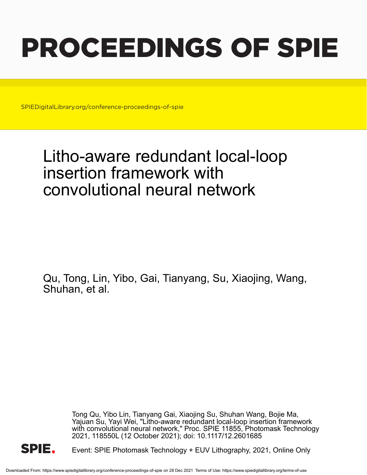# PROCEEDINGS OF SPIE

SPIEDigitalLibrary.org/conference-proceedings-of-spie

## Litho-aware redundant local-loop insertion framework with convolutional neural network

Qu, Tong, Lin, Yibo, Gai, Tianyang, Su, Xiaojing, Wang, Shuhan, et al.

> Tong Qu, Yibo Lin, Tianyang Gai, Xiaojing Su, Shuhan Wang, Bojie Ma, Yajuan Su, Yayi Wei, "Litho-aware redundant local-loop insertion framework with convolutional neural network," Proc. SPIE 11855, Photomask Technology 2021, 118550L (12 October 2021); doi: 10.1117/12.2601685



Event: SPIE Photomask Technology + EUV Lithography, 2021, Online Only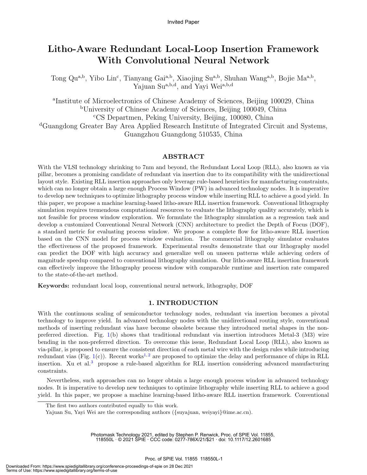### Litho-Aware Redundant Local-Loop Insertion Framework With Convolutional Neural Network

Tong Qu<sup>a,b</sup>, Yibo Lin<sup>c</sup>, Tianyang Gai<sup>a,b</sup>, Xiaojing Su<sup>a,b</sup>, Shuhan Wang<sup>a,b</sup>, Bojie Ma<sup>a,b</sup>, Yajuan Sua,b,d, and Yayi Wei<sup>a,b,d</sup>

a Institute of Microelectronics of Chinese Academy of Sciences, Beijing 100029, China <sup>b</sup>University of Chinese Academy of Sciences, Beijing 100049, China <sup>c</sup>CS Departmen, Peking University, Beijing, 100080, China <sup>d</sup>Guangdong Greater Bay Area Applied Research Institute of Integrated Circuit and Systems, Guangzhou Guangdong 510535, China

#### ABSTRACT

With the VLSI technology shrinking to 7nm and beyond, the Redundant Local Loop (RLL), also known as via pillar, becomes a promising candidate of redundant via insertion due to its compatibility with the unidirectional layout style. Existing RLL insertion approaches only leverage rule-based heuristics for manufacturing constraints, which can no longer obtain a large enough Process Window (PW) in advanced technology nodes. It is imperative to develop new techniques to optimize lithography process window while inserting RLL to achieve a good yield. In this paper, we propose a machine learning-based litho-aware RLL insertion framework. Conventional lithography simulation requires tremendous computational resources to evaluate the lithography quality accurately, which is not feasible for process window exploration. We formulate the lithography simulation as a regression task and develop a customized Conventional Neural Network (CNN) architecture to predict the Depth of Focus (DOF), a standard metric for evaluating process window. We propose a complete flow for litho-aware RLL insertion based on the CNN model for process window evaluation. The commercial lithography simulator evaluates the effectiveness of the proposed framework. Experimental results demonstrate that our lithography model can predict the DOF with high accuracy and generalize well on unseen patterns while achieving orders of magnitude speedup compared to conventional lithography simulation. Our litho-aware RLL insertion framework can effectively improve the lithography process window with comparable runtime and insertion rate compared to the state-of-the-art method.

Keywords: redundant local loop, conventional neural network, lithography, DOF

#### 1. INTRODUCTION

With the continuous scaling of semiconductor technology nodes, redundant via insertion becomes a pivotal technology to improve yield. In advanced technology nodes with the unidirectional routing style, conventional methods of inserting redundant vias have become obsolete because they introduced metal shapes in the nonpreferred direction. Fig. 1(b) shows that traditional redundant via insertion introduces Metal-3 (M3) wire bending in the non-preferred direction. To overcome this issue, Redundant Local Loop (RLL), also known as via-pillar, is proposed to ensure the consistent direction of each metal wire with the design rules while introducing redundant vias (Fig. 1(c)). Recent works<sup>1,2</sup> are proposed to optimize the delay and performance of chips in RLL insertion. Xu et al.<sup>3</sup> propose a rule-based algorithm for RLL insertion considering advanced manufacturing constraints.

Nevertheless, such approaches can no longer obtain a large enough process window in advanced technology nodes. It is imperative to develop new techniques to optimize lithography while inserting RLL to achieve a good yield. In this paper, we propose a machine learning-based litho-aware RLL insertion framework. Conventional

Photomask Technology 2021, edited by Stephen P. Renwick, Proc. of SPIE Vol. 11855, 118550L · © 2021 SPIE · CCC code: 0277-786X/21/\$21 · doi: 10.1117/12.2601685

The first two authors contributed equally to this work.

Yajuan Su, Yayi Wei are the corresponding authors ({suyajuan, weiyayi}@ime.ac.cn).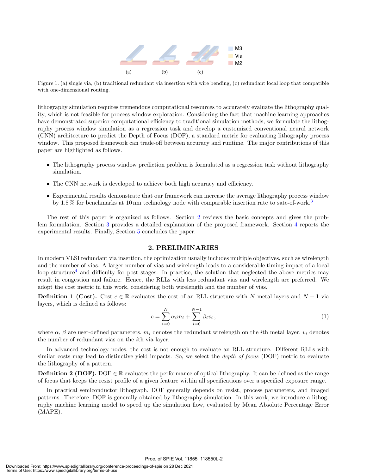

Figure 1. (a) single via, (b) traditional redundant via insertion with wire bending, (c) redundant local loop that compatible with one-dimensional routing.

lithography simulation requires tremendous computational resources to accurately evaluate the lithography quality, which is not feasible for process window exploration. Considering the fact that machine learning approaches have demonstrated superior computational efficiency to traditional simulation methods, we formulate the lithography process window simulation as a regression task and develop a customized conventional neural network (CNN) architecture to predict the Depth of Focus (DOF), a standard metric for evaluating lithography process window. This proposed framework can trade-off between accuracy and runtime. The major contributions of this paper are highlighted as follows.

- The lithography process window prediction problem is formulated as a regression task without lithography simulation.
- The CNN network is developed to achieve both high accuracy and efficiency.
- Experimental results demonstrate that our framework can increase the average lithography process window by 1.8 % for benchmarks at 10 nm technology node with comparable insertion rate to sate-of-work.<sup>3</sup>

The rest of this paper is organized as follows. Section 2 reviews the basic concepts and gives the problem formulation. Section 3 provides a detailed explanation of the proposed framework. Section 4 reports the experimental results. Finally, Section 5 concludes the paper.

#### 2. PRELIMINARIES

In modern VLSI redundant via insertion, the optimization usually includes multiple objectives, such as wirelength and the number of vias. A larger number of vias and wirelength leads to a considerable timing impact of a local loop structure<sup>4</sup> and difficulty for post stages. In practice, the solution that neglected the above metrics may result in congestion and failure. Hence, the RLLs with less redundant vias and wirelength are preferred. We adopt the cost metric in this work, considering both wirelength and the number of vias.

**Definition 1 (Cost).** Cost  $c \in \mathbb{R}$  evaluates the cost of an RLL structure with N metal layers and N − 1 via layers, which is defined as follows:

$$
c = \sum_{i=0}^{N} \alpha_i m_i + \sum_{i=0}^{N-1} \beta_i v_i, \qquad (1)
$$

where  $\alpha$ ,  $\beta$  are user-defined parameters,  $m_i$  denotes the redundant wirelength on the *i*th metal layer,  $v_i$  denotes the number of redundant vias on the ith via layer.

In advanced technology nodes, the cost is not enough to evaluate an RLL structure. Different RLLs with similar costs may lead to distinctive yield impacts. So, we select the *depth of focus* (DOF) metric to evaluate the lithography of a pattern.

**Definition 2 (DOF).** DOF  $\in \mathbb{R}$  evaluates the performance of optical lithography. It can be defined as the range of focus that keeps the resist profile of a given feature within all specifications over a specified exposure range.

In practical semiconductor lithograph, DOF generally depends on resist, process parameters, and imaged patterns. Therefore, DOF is generally obtained by lithography simulation. In this work, we introduce a lithography machine learning model to speed up the simulation flow, evaluated by Mean Absolute Percentage Error (MAPE).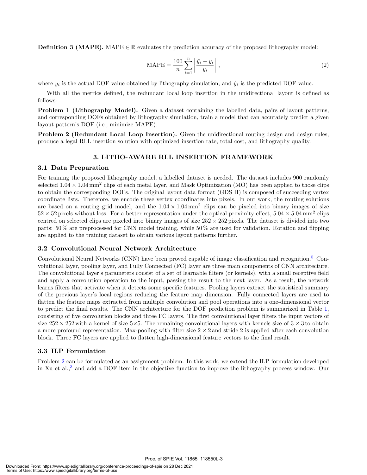**Definition 3 (MAPE).** MAPE  $\in \mathbb{R}$  evaluates the prediction accuracy of the proposed lithography model:

$$
\text{MAPE} = \frac{100}{n} \sum_{i=1}^{n} \left| \frac{\hat{y}_i - y_i}{y_i} \right| , \qquad (2)
$$

where  $y_i$  is the actual DOF value obtained by lithography simulation, and  $\hat{y}_i$  is the predicted DOF value.

With all the metrics defined, the redundant local loop insertion in the unidirectional layout is defined as follows:

Problem 1 (Lithography Model). Given a dataset containing the labelled data, pairs of layout patterns, and corresponding DOFs obtained by lithography simulation, train a model that can accurately predict a given layout pattern's DOF (i.e., minimize MAPE).

**Problem 2 (Redundant Local Loop Insertion).** Given the unidirectional routing design and design rules, produce a legal RLL insertion solution with optimized insertion rate, total cost, and lithography quality.

#### 3. LITHO-AWARE RLL INSERTION FRAMEWORK

#### 3.1 Data Preparation

For training the proposed lithography model, a labelled dataset is needed. The dataset includes 900 randomly selected  $1.04 \times 1.04 \text{ mm}^2$  clips of each metal layer, and Mask Optimization (MO) has been applied to those clips to obtain the corresponding DOFs. The original layout data format (GDS II) is composed of succeeding vertex coordinate lists. Therefore, we encode these vertex coordinates into pixels. In our work, the routing solutions are based on a routing grid model, and the  $1.04 \times 1.04 \text{ mm}^2$  clips can be pixeled into binary images of size  $52 \times 52$  pixels without loss. For a better representation under the optical proximity effect,  $5.04 \times 5.04$  mm<sup>2</sup> clips centred on selected clips are pixeled into binary images of size  $252 \times 252$  pixels. The dataset is divided into two parts: 50 % are preprocessed for CNN model training, while 50 % are used for validation. Rotation and flipping are applied to the training dataset to obtain various layout patterns further.

#### 3.2 Convolutional Neural Network Architecture

Convolutional Neural Networks (CNN) have been proved capable of image classification and recognition.<sup>5</sup> Convolutional layer, pooling layer, and Fully Connected (FC) layer are three main components of CNN architecture. The convolutional layer's parameters consist of a set of learnable filters (or kernels), with a small receptive field and apply a convolution operation to the input, passing the result to the next layer. As a result, the network learns filters that activate when it detects some specific features. Pooling layers extract the statistical summary of the previous layer's local regions reducing the feature map dimension. Fully connected layers are used to flatten the feature maps extracted from multiple convolution and pool operations into a one-dimensional vector to predict the final results. The CNN architecture for the DOF prediction problem is summarized in Table 1, consisting of five convolution blocks and three FC layers. The first convolutional layer filters the input vectors of size  $252 \times 252$  with a kernel of size  $5 \times 5$ . The remaining convolutional layers with kernels size of  $3 \times 3$  to obtain a more profound representation. Max-pooling with filter size  $2 \times 2$  and stride 2 is applied after each convolution block. Three FC layers are applied to flatten high-dimensional feature vectors to the final result.

#### 3.3 ILP Formulation

Problem 2 can be formulated as an assignment problem. In this work, we extend the ILP formulation developed in Xu et al.,<sup>3</sup> and add a DOF item in the objective function to improve the lithography process window. Our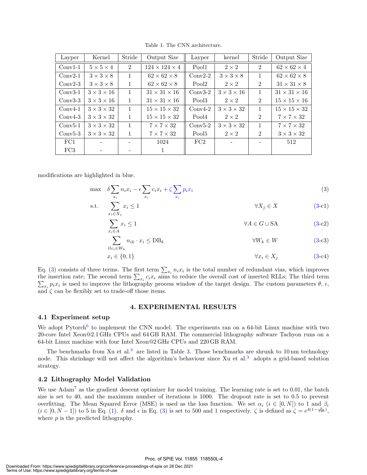| Layper    | Kernel                 | Stride         | Output Size               | Layper            | kernel                 | Stride         | Output Size              |
|-----------|------------------------|----------------|---------------------------|-------------------|------------------------|----------------|--------------------------|
| $Conv1-1$ | $5 \times 5 \times 4$  | $\overline{2}$ | $124 \times 124 \times 4$ | Pool1             | $2 \times 2$           | $\overline{2}$ | $62 \times 62 \times 4$  |
| $Conv2-1$ | $3 \times 3 \times 8$  | 1              | $62 \times 62 \times 8$   | $Conv2-2$         | $3 \times 3 \times 8$  | $\mathbf{1}$   | $62 \times 62 \times 8$  |
| $Conv2-3$ | $3 \times 3 \times 8$  | 1              | $62 \times 62 \times 8$   | Pool <sub>2</sub> | $2 \times 2$           | $\overline{2}$ | $31 \times 31 \times 8$  |
| $Conv3-1$ | $3 \times 3 \times 16$ | $\mathbf{1}$   | $31 \times 31 \times 16$  | $Conv3-2$         | $3 \times 3 \times 16$ | $\mathbf{1}$   | $31 \times 31 \times 16$ |
| $Conv3-3$ | $3 \times 3 \times 16$ | 1              | $31 \times 31 \times 16$  | Pool3             | $2 \times 2$           | $\overline{2}$ | $15 \times 15 \times 16$ |
| $Conv4-1$ | $3 \times 3 \times 32$ | 1              | $15 \times 15 \times 32$  | $Conv4-2$         | $3 \times 3 \times 32$ | $\mathbf{1}$   | $15 \times 15 \times 32$ |
| $Conv4-3$ | $3 \times 3 \times 32$ | 1              | $15 \times 15 \times 32$  | Pool4             | $2 \times 2$           | $\overline{2}$ | $7 \times 7 \times 32$   |
| $Conv5-1$ | $3 \times 3 \times 32$ | 1              | $7 \times 7 \times 32$    | $Conv5-2$         | $3 \times 3 \times 32$ | $\mathbf{1}$   | $7 \times 7 \times 32$   |
| $Conv5-3$ | $3 \times 3 \times 32$ | 1              | $7 \times 7 \times 32$    | Pool <sub>5</sub> | $2 \times 2$           | $\overline{2}$ | $3 \times 3 \times 32$   |
| FC1       |                        |                | 1024                      | FC2               |                        |                | 512                      |
| FC3       |                        |                | 1                         |                   |                        |                |                          |

Table 1. The CNN architecture.

modifications are highlighted in blue.

$$
\max \quad \delta \sum_{x_i} n_i x_i - \epsilon \sum_{x_i} c_i x_i + \zeta \sum_{x_i} p_i x_i \tag{3}
$$

$$
\text{s.t.} \quad \sum_{x_i \in X_j} x_i \le 1 \qquad \qquad \forall X_j \in X \tag{3-c1}
$$

$$
\sum_{x_i \in A} x_i \le 1 \qquad \qquad \forall A \in G \cup \text{SA} \tag{3-c2}
$$

$$
\sum_{llc_i \in W_k} n_{ik} \cdot x_i \le DB_k \qquad \qquad \forall W_k \in W \tag{3-c3}
$$

$$
x_i \in \{0, 1\} \qquad \qquad \forall x_i \in X_j \tag{3-c4}
$$

Eq. (3) consists of three terms. The first term  $\sum_{x_i} n_i x_i$  is the total number of redundant vias, which improves the insertion rate; The second term  $\sum_{x_i} c_i x_i$  aims to reduce the overall cost of inserted RLLs; The third term Let the interval transfer the lithography process window of the target design. The custom parameters  $\theta$ ,  $\epsilon$ , and  $\zeta$  can be flexibly set to trade-off those items.

#### 4. EXPERIMENTAL RESULTS

#### 4.1 Experiment setup

We adopt Pytorch<sup>6</sup> to implement the CNN model. The experiments ran on a 64-bit Linux machine with two 20-core Intel Xeon@2.1 GHz CPUs and 64 GB RAM. The commercial lithography software Tachyon runs on a 64-bit Linux machine with four Intel Xeon@2 GHz CPUs and 220 GB RAM.

The benchmarks from Xu et al.<sup>3</sup> are listed in Table 3. Those benchmarks are shrunk to 10 nm technology node. This shrinkage will not affect the algorithm's behaviour since Xu et al.<sup>3</sup> adopts a grid-based solution strategy.

#### 4.2 Lithography Model Validation

We use Adam<sup>7</sup> as the gradient descent optimizer for model training. The learning rate is set to 0.01, the batch size is set to 40, and the maximum number of iterations is 1000. The dropout rate is set to 0.5 to prevent overfitting. The Mean Squared Error (MSE) is used as the loss function. We set  $\alpha_i$  ( $i \in [0, N]$ ) to 1 and  $\beta_i$  $(i \in [0, N-1])$  to 5 in Eq. (1).  $\delta$  and  $\epsilon$  in Eq. (3) is set to 500 and 1 respectively.  $\zeta$  is defined as  $\zeta = e^{4(1-\frac{p}{120})}$ , where  $p$  is the predicted lithography.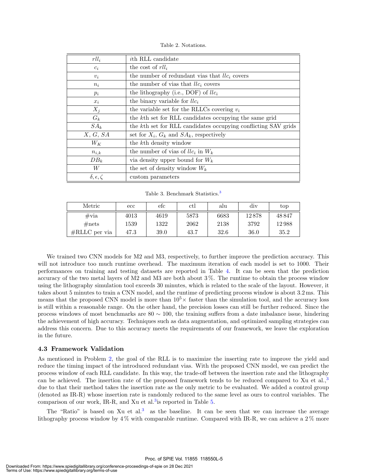Table 2. Notations.

| $rll_i$                   | <i>i</i> th RLL candidate                                      |
|---------------------------|----------------------------------------------------------------|
| $c_i$                     | the cost of $r l l_i$                                          |
| $v_i$                     | the number of redundant vias that $llc_i$ covers               |
| $n_i$                     | the number of vias that $llc_i$ covers                         |
| $p_i$                     | the lithography (i.e., DOF) of $llc_i$                         |
| $x_i$                     | the binary variable for $llc_i$                                |
| $X_i$                     | the variable set for the RLLCs covering $v_i$                  |
| $G_k$                     | the kth set for RLL candidates occupying the same grid         |
| $SA_k$                    | the kth set for RLL candidates occupying conflicting SAV grids |
| X, G, SA                  | set for $X_i$ , $G_k$ and $SA_k$ , respectively                |
| $W_K$                     | the k <sup>th</sup> density window                             |
| $n_{i,k}$                 | the number of vias of $llc_i$ in $W_k$                         |
| $DB_k$                    | via density upper bound for $W_k$                              |
| W                         | the set of density window $W_k$                                |
| $\delta, \epsilon, \zeta$ | custom parameters                                              |

Table 3. Benchmark Statistics.<sup>3</sup>

| Metric                  | $_{\rm ecc}$ | efc  | ctl  | alu  | div   | top   |
|-------------------------|--------------|------|------|------|-------|-------|
| $\#\text{via}$          | 4013         | 4619 | 5873 | 6683 | 12878 | 48847 |
| $\#\text{nets}$         | 1539         | 1322 | 2062 | 2138 | 3792  | 12988 |
| $\#\text{RLLC}$ per via | 47.3         | 39.0 | 43.7 | 32.6 | 36.0  | 35.2  |

We trained two CNN models for M2 and M3, respectively, to further improve the prediction accuracy. This will not introduce too much runtime overhead. The maximum iteration of each model is set to 1000. Their performances on training and testing datasets are reported in Table 4. It can be seen that the prediction accuracy of the two metal layers of M2 and M3 are both about 3 %. The runtime to obtain the process window using the lithography simulation tool exceeds 30 minutes, which is related to the scale of the layout. However, it takes about 5 minutes to train a CNN model, and the runtime of predicting process window is about 3.2 ms. This means that the proposed CNN model is more than  $10^5\times$  faster than the simulation tool, and the accuracy loss is still within a reasonable range. On the other hand, the precision losses can still be further reduced. Since the process windows of most benchmarks are  $80 \sim 100$ , the training suffers from a date imbalance issue, hindering the achievement of high accuracy. Techniques such as data augmentation, and optimized sampling strategies can address this concern. Due to this accuracy meets the requirements of our framework, we leave the exploration in the future.

#### 4.3 Framework Validation

As mentioned in Problem 2, the goal of the RLL is to maximize the inserting rate to improve the yield and reduce the timing impact of the introduced redundant vias. With the proposed CNN model, we can predict the process window of each RLL candidate. In this way, the trade-off between the insertion rate and the lithography can be achieved. The insertion rate of the proposed framework tends to be reduced compared to Xu et al., $3$ due to that their method takes the insertion rate as the only metric to be evaluated. We added a control group (denoted as IR-R) whose insertion rate is randomly reduced to the same level as ours to control variables. The comparison of our work, IR-R, and Xu et al.<sup>3</sup> is reported in Table  $5$ .

The "Ratio" is based on Xu et al.<sup>3</sup> as the baseline. It can be seen that we can increase the average lithography process window by 4 % with comparable runtime. Compared with IR-R, we can achieve a 2 % more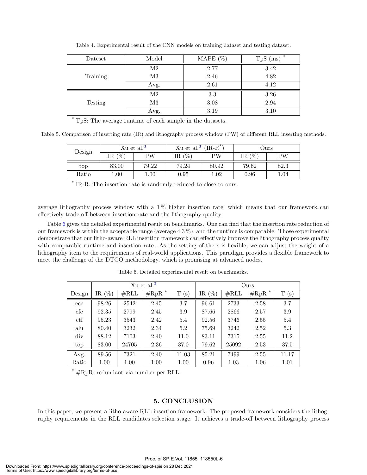| Dateset  | Model          | MAPE $(\%)$ | *<br>TpS<br>(ms) |  |
|----------|----------------|-------------|------------------|--|
|          | $\mathrm{M}2$  | 2.77        | 3.42             |  |
| Training | M <sub>3</sub> | 2.46        | 4.82             |  |
|          | Avg.           | 2.61        | 4.12             |  |
|          | $\mathrm{M}2$  | 3.3         | 3.26             |  |
| Testing  | M3             | 3.08        | 2.94             |  |
|          | Avg.           | 3.19        | 3.10             |  |

Table 4. Experimental result of the CNN models on training dataset and testing dataset.

\* TpS: The average runtime of each sample in the datasets.

Table 5. Comparison of inserting rate (IR) and lithography process window (PW) of different RLL inserting methods.

| Design | Xu et al. <sup>3</sup> |          | Xu et al. <sup>3</sup> | $(IR-R^*)$ | Jurs      |          |  |
|--------|------------------------|----------|------------------------|------------|-----------|----------|--|
|        | $\%$<br>IR.            | PW       | $(\%$<br>IR-           | РW         | %<br>IR ( | РW       |  |
| top    | 83.00                  | 79.22    | 79.24                  | 80.92      | 79.62     | 82.3     |  |
| Ratio  | .00.                   | $1.00\,$ | 0.95                   | $1.02\,$   | 0.96      | $1.04\,$ |  |

\* IR-R: The insertion rate is randomly reduced to close to ours.

average lithography process window with a  $1\%$  higher insertion rate, which means that our framework can effectively trade-off between insertion rate and the lithography quality.

Table 6 gives the detailed experimental result on benchmarks. One can find that the insertion rate reduction of our framework is within the acceptable range (average 4.3 %), and the runtime is comparable. Those experimental demonstrate that our litho-aware RLL insertion framework can effectively improve the lithography process quality with comparable runtime and insertion rate. As the setting of the  $\epsilon$  is flexible, we can adjust the weight of a lithography item to the requirements of real-world applications. This paradigm provides a flexible framework to meet the challenge of the DTCO methodology, which is promising at advanced nodes.

|              | Xu et al. $3$ |                  |           |                        | Ours      |                |                       |                |
|--------------|---------------|------------------|-----------|------------------------|-----------|----------------|-----------------------|----------------|
| Design       | $(\%)$<br>IR  | $\#\mathrm{RLL}$ | *<br>#RpR | Т<br>$\left( s\right)$ | IR $(\%)$ | $\#\text{RLL}$ | *<br>$\#\mathrm{RpR}$ | т<br>$(\rm s)$ |
| ecc          | 98.26         | 2542             | 2.45      | 3.7                    | 96.61     | 2733           | 2.58                  | 3.7            |
| $_{\rm efc}$ | 92.35         | 2799             | 2.45      | 3.9                    | 87.66     | 2866           | 2.57                  | 3.9            |
| ctl          | 95.23         | 3543             | 2.42      | 5.4                    | 92.56     | 3746           | 2.55                  | 5.4            |
| alu          | 80.40         | 3232             | 2.34      | 5.2                    | 75.69     | 3242           | 2.52                  | 5.3            |
| div          | 88.12         | 7103             | 2.40      | 11.0                   | 83.11     | 7315           | 2.55                  | 11.2           |
| top          | 83.00         | 24705            | 2.36      | 37.0                   | 79.62     | 25092          | 2.53                  | 37.5           |
| Avg.         | 89.56         | 7321             | 2.40      | 11.03                  | 85.21     | 7499           | 2.55                  | 11.17          |
| Ratio        | 1.00          | 1.00             | 1.00      | 1.00                   | 0.96      | 1.03           | 1.06                  | 1.01           |

Table 6. Detailed experimental result on benchmarks.

\* #RpR: redundant via number per RLL.

#### 5. CONCLUSION

In this paper, we present a litho-aware RLL insertion framework. The proposed framework considers the lithography requirements in the RLL candidates selection stage. It achieves a trade-off between lithography process